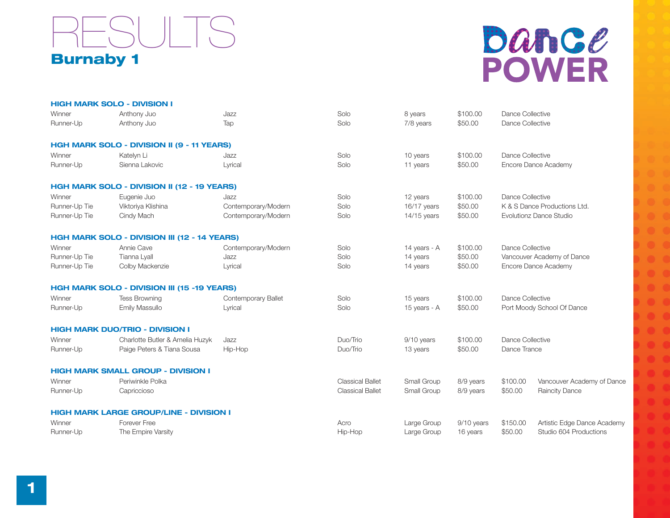

## Dance **POWER**

|               | <b>HIGH MARK SOLO - DIVISION I</b>                  |                     |                         |               |            |                              |                             |  |
|---------------|-----------------------------------------------------|---------------------|-------------------------|---------------|------------|------------------------------|-----------------------------|--|
| Winner        | Anthony Juo                                         | Jazz                | Solo                    | 8 years       | \$100.00   | Dance Collective             |                             |  |
| Runner-Up     | Anthony Juo                                         | Tap                 | Solo                    | 7/8 years     | \$50.00    | Dance Collective             |                             |  |
|               | <b>HGH MARK SOLO - DIVISION II (9 - 11 YEARS)</b>   |                     |                         |               |            |                              |                             |  |
| Winner        | Katelyn Li                                          | Jazz                | Solo                    | 10 years      | \$100.00   | Dance Collective             |                             |  |
| Runner-Up     | Sienna Lakovic                                      | Lyrical             | Solo                    | 11 years      | \$50.00    | Encore Dance Academy         |                             |  |
|               | <b>HGH MARK SOLO - DIVISION II (12 - 19 YEARS)</b>  |                     |                         |               |            |                              |                             |  |
| Winner        | Eugenie Juo                                         | Jazz                | Solo                    | 12 years      | \$100.00   |                              | Dance Collective            |  |
| Runner-Up Tie | Viktoriya Klishina                                  | Contemporary/Modern | Solo                    | 16/17 years   | \$50.00    | K & S Dance Productions Ltd. |                             |  |
| Runner-Up Tie | Cindy Mach                                          | Contemporary/Modern | Solo                    | $14/15$ years | \$50.00    | Evolutionz Dance Studio      |                             |  |
|               | <b>HGH MARK SOLO - DIVISION III (12 - 14 YEARS)</b> |                     |                         |               |            |                              |                             |  |
| Winner        | Annie Cave                                          | Contemporary/Modern | Solo                    | 14 years - A  | \$100.00   | Dance Collective             |                             |  |
| Runner-Up Tie | Tianna Lyall                                        | Jazz                | Solo                    | 14 years      | \$50.00    | Vancouver Academy of Dance   |                             |  |
| Runner-Up Tie | Colby Mackenzie                                     | Lyrical             | Solo                    | 14 years      | \$50.00    | Encore Dance Academy         |                             |  |
|               | <b>HGH MARK SOLO - DIVISION III (15 -19 YEARS)</b>  |                     |                         |               |            |                              |                             |  |
| Winner        | <b>Tess Browning</b>                                | Contemporary Ballet | Solo                    | 15 years      | \$100.00   | Dance Collective             |                             |  |
| Runner-Up     | Emily Massullo                                      | Lyrical             | Solo                    | 15 years - A  | \$50.00    | Port Moody School Of Dance   |                             |  |
|               | <b>HIGH MARK DUO/TRIO - DIVISION I</b>              |                     |                         |               |            |                              |                             |  |
| Winner        | Charlotte Butler & Amelia Huzyk                     | Jazz                | Duo/Trio                | 9/10 years    | \$100.00   | Dance Collective             |                             |  |
| Runner-Up     | Paige Peters & Tiana Sousa                          | Hip-Hop             | Duo/Trio                | 13 years      | \$50.00    | Dance Trance                 |                             |  |
|               | <b>HIGH MARK SMALL GROUP - DIVISION I</b>           |                     |                         |               |            |                              |                             |  |
| Winner        | Periwinkle Polka                                    |                     | <b>Classical Ballet</b> | Small Group   | 8/9 years  | \$100.00                     | Vancouver Academy of Dance  |  |
| Runner-Up     | Capriccioso                                         |                     | <b>Classical Ballet</b> | Small Group   | 8/9 years  | \$50.00                      | Raincity Dance              |  |
|               | <b>HIGH MARK LARGE GROUP/LINE - DIVISION I</b>      |                     |                         |               |            |                              |                             |  |
| Winner        | Forever Free                                        |                     | Acro                    | Large Group   | 9/10 years | \$150.00                     | Artistic Edge Dance Academy |  |
| Runner-Up     | The Empire Varsity                                  |                     | Hip-Hop                 | Large Group   | 16 years   | \$50.00                      | Studio 604 Productions      |  |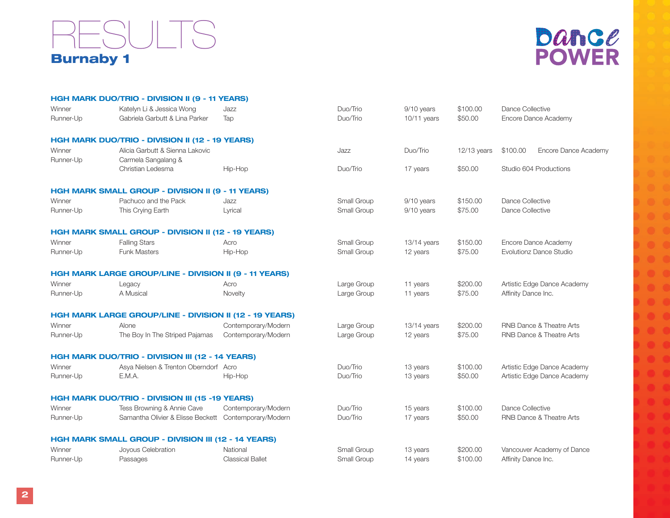### Burnaby 1 RESULTS



|                     | <b>HGH MARK DUO/TRIO - DIVISION II (9 - 11 YEARS)</b>          |                         |             |               |               |                                  |  |
|---------------------|----------------------------------------------------------------|-------------------------|-------------|---------------|---------------|----------------------------------|--|
| Winner              | Katelyn Li & Jessica Wong                                      | Jazz                    | Duo/Trio    | 9/10 years    | \$100.00      | Dance Collective                 |  |
| Runner-Up           | Gabriela Garbutt & Lina Parker                                 | Tap                     | Duo/Trio    | 10/11 years   | \$50.00       | Encore Dance Academy             |  |
|                     | HGH MARK DUO/TRIO - DIVISION II (12 - 19 YEARS)                |                         |             |               |               |                                  |  |
| Winner<br>Runner-Up | Alicia Garbutt & Sienna Lakovic<br>Carmela Sangalang &         |                         | Jazz        | Duo/Trio      | $12/13$ years | \$100.00<br>Encore Dance Academy |  |
|                     | Christian Ledesma                                              | Hip-Hop                 | Duo/Trio    | 17 years      | \$50.00       | Studio 604 Productions           |  |
|                     | <b>HGH MARK SMALL GROUP - DIVISION II (9 - 11 YEARS)</b>       |                         |             |               |               |                                  |  |
| Winner              | Pachuco and the Pack                                           | Jazz                    | Small Group | 9/10 years    | \$150.00      | Dance Collective                 |  |
| Runner-Up           | This Crying Earth                                              | Lyrical                 | Small Group | 9/10 years    | \$75.00       | Dance Collective                 |  |
|                     | HGH MARK SMALL GROUP - DIVISION II (12 - 19 YEARS)             |                         |             |               |               |                                  |  |
| Winner              | <b>Falling Stars</b>                                           | Acro                    | Small Group | $13/14$ years | \$150.00      | Encore Dance Academy             |  |
| Runner-Up           | <b>Funk Masters</b>                                            | Hip-Hop                 | Small Group | 12 years      | \$75.00       | Evolutionz Dance Studio          |  |
|                     | <b>HGH MARK LARGE GROUP/LINE - DIVISION II (9 - 11 YEARS)</b>  |                         |             |               |               |                                  |  |
| Winner              | Legacy                                                         | Acro                    | Large Group | 11 years      | \$200.00      | Artistic Edge Dance Academy      |  |
| Runner-Up           | A Musical                                                      | Novelty                 | Large Group | 11 years      | \$75.00       | Affinity Dance Inc.              |  |
|                     | <b>HGH MARK LARGE GROUP/LINE - DIVISION II (12 - 19 YEARS)</b> |                         |             |               |               |                                  |  |
| Winner              | Alone                                                          | Contemporary/Modern     | Large Group | $13/14$ years | \$200.00      | RNB Dance & Theatre Arts         |  |
| Runner-Up           | The Boy In The Striped Pajamas                                 | Contemporary/Modern     | Large Group | 12 years      | \$75.00       | RNB Dance & Theatre Arts         |  |
|                     | <b>HGH MARK DUO/TRIO - DIVISION III (12 - 14 YEARS)</b>        |                         |             |               |               |                                  |  |
| Winner              | Asya Nielsen & Trenton Oberndorf Acro                          |                         | Duo/Trio    | 13 years      | \$100.00      | Artistic Edge Dance Academy      |  |
| Runner-Up           | E.M.A.                                                         | Hip-Hop                 | Duo/Trio    | 13 years      | \$50.00       | Artistic Edge Dance Academy      |  |
|                     | <b>HGH MARK DUO/TRIO - DIVISION III (15 -19 YEARS)</b>         |                         |             |               |               |                                  |  |
| Winner              | Tess Browning & Annie Cave                                     | Contemporary/Modern     | Duo/Trio    | 15 years      | \$100.00      | Dance Collective                 |  |
| Runner-Up           | Samantha Olivier & Elisse Beckett Contemporary/Modern          |                         | Duo/Trio    | 17 years      | \$50.00       | RNB Dance & Theatre Arts         |  |
|                     | HGH MARK SMALL GROUP - DIVISION III (12 - 14 YEARS)            |                         |             |               |               |                                  |  |
| Winner              | Joyous Celebration                                             | National                | Small Group | 13 years      | \$200.00      | Vancouver Academy of Dance       |  |
| Runner-Up           | Passages                                                       | <b>Classical Ballet</b> | Small Group | 14 years      | \$100.00      | Affinity Dance Inc.              |  |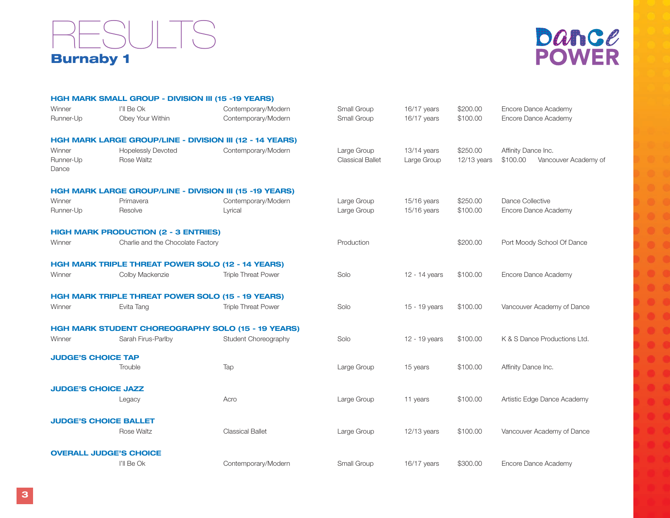#### Burnaby 1 **ESULTS**



|                              | <b>HGH MARK SMALL GROUP - DIVISION III (15 -19 YEARS)</b>      |                                                           |                                        |                              |                         |                                                         |  |
|------------------------------|----------------------------------------------------------------|-----------------------------------------------------------|----------------------------------------|------------------------------|-------------------------|---------------------------------------------------------|--|
| Winner                       | I'll Be Ok                                                     | Contemporary/Modern                                       | Small Group                            | 16/17 years                  | \$200.00                | Encore Dance Academy                                    |  |
| Runner-Up                    | Obey Your Within                                               | Contemporary/Modern                                       | Small Group                            | 16/17 years                  | \$100.00                | Encore Dance Academy                                    |  |
|                              |                                                                | HGH MARK LARGE GROUP/LINE - DIVISION III (12 - 14 YEARS)  |                                        |                              |                         |                                                         |  |
| Winner<br>Runner-Up<br>Dance | <b>Hopelessly Devoted</b><br>Rose Waltz                        | Contemporary/Modern                                       | Large Group<br><b>Classical Ballet</b> | $13/14$ years<br>Large Group | \$250.00<br>12/13 years | Affinity Dance Inc.<br>\$100.00<br>Vancouver Academy of |  |
|                              | <b>HGH MARK LARGE GROUP/LINE - DIVISION III (15 -19 YEARS)</b> |                                                           |                                        |                              |                         |                                                         |  |
| Winner                       | Primavera                                                      | Contemporary/Modern                                       | Large Group                            | 15/16 years                  | \$250.00                | Dance Collective                                        |  |
| Runner-Up                    | Resolve                                                        | Lyrical                                                   | Large Group                            | 15/16 years                  | \$100.00                | Encore Dance Academy                                    |  |
|                              | <b>HIGH MARK PRODUCTION (2 - 3 ENTRIES)</b>                    |                                                           |                                        |                              |                         |                                                         |  |
| Winner                       | Charlie and the Chocolate Factory                              |                                                           | Production                             |                              | \$200.00                | Port Moody School Of Dance                              |  |
|                              | HGH MARK TRIPLE THREAT POWER SOLO (12 - 14 YEARS)              |                                                           |                                        |                              |                         |                                                         |  |
| Winner                       | Colby Mackenzie                                                | <b>Triple Threat Power</b>                                | Solo                                   | 12 - 14 years                | \$100.00                | Encore Dance Academy                                    |  |
|                              | <b>HGH MARK TRIPLE THREAT POWER SOLO (15 - 19 YEARS)</b>       |                                                           |                                        |                              |                         |                                                         |  |
| Winner                       | Evita Tang                                                     | <b>Triple Threat Power</b>                                | Solo                                   | 15 - 19 years                | \$100.00                | Vancouver Academy of Dance                              |  |
|                              |                                                                | <b>HGH MARK STUDENT CHOREOGRAPHY SOLO (15 - 19 YEARS)</b> |                                        |                              |                         |                                                         |  |
| Winner                       | Sarah Firus-Parlby                                             | Student Choreography                                      | Solo                                   | 12 - 19 years                | \$100.00                | K & S Dance Productions Ltd.                            |  |
| <b>JUDGE'S CHOICE TAP</b>    |                                                                |                                                           |                                        |                              |                         |                                                         |  |
|                              | Trouble                                                        | Tap                                                       | Large Group                            | 15 years                     | \$100.00                | Affinity Dance Inc.                                     |  |
| <b>JUDGE'S CHOICE JAZZ</b>   |                                                                |                                                           |                                        |                              |                         |                                                         |  |
|                              | Legacy                                                         | Acro                                                      | Large Group                            | 11 years                     | \$100.00                | Artistic Edge Dance Academy                             |  |
|                              | <b>JUDGE'S CHOICE BALLET</b>                                   |                                                           |                                        |                              |                         |                                                         |  |
|                              | Rose Waltz                                                     | <b>Classical Ballet</b>                                   | Large Group                            | $12/13$ years                | \$100.00                | Vancouver Academy of Dance                              |  |
|                              | <b>OVERALL JUDGE'S CHOICE</b>                                  |                                                           |                                        |                              |                         |                                                         |  |
|                              | I'll Be Ok                                                     | Contemporary/Modern                                       | Small Group                            | 16/17 years                  | \$300.00                | Encore Dance Academy                                    |  |